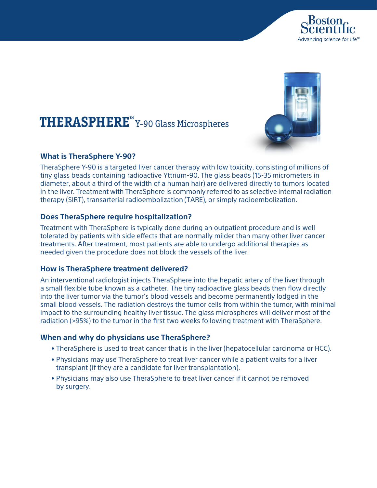

# **THERASPHERE™** Y-90 Glass Microspheres

## **What is TheraSphere Y-90?**

TheraSphere Y-90 is a targeted liver cancer therapy with low toxicity, consisting of millions of tiny glass beads containing radioactive Yttrium-90. The glass beads (15-35 micrometers in diameter, about a third of the width of a human hair) are delivered directly to tumors located in the liver. Treatment with TheraSphere is commonly referred to as selective internal radiation therapy (SIRT), transarterial radioembolization (TARE), or simply radioembolization.

#### **Does TheraSphere require hospitalization?**

Treatment with TheraSphere is typically done during an outpatient procedure and is well tolerated by patients with side effects that are normally milder than many other liver cancer treatments. After treatment, most patients are able to undergo additional therapies as needed given the procedure does not block the vessels of the liver.

## **How is TheraSphere treatment delivered?**

An interventional radiologist injects TheraSphere into the hepatic artery of the liver through a small flexible tube known as a catheter. The tiny radioactive glass beads then flow directly into the liver tumor via the tumor's blood vessels and become permanently lodged in the small blood vessels. The radiation destroys the tumor cells from within the tumor, with minimal impact to the surrounding healthy liver tissue. The glass microspheres will deliver most of the radiation (>95%) to the tumor in the first two weeks following treatment with TheraSphere.

## **When and why do physicians use TheraSphere?**

- TheraSphere is used to treat cancer that is in the liver (hepatocellular carcinoma or HCC).
- Physicians may use TheraSphere to treat liver cancer while a patient waits for a liver transplant (if they are a candidate for liver transplantation).
- Physicians may also use TheraSphere to treat liver cancer if it cannot be removed by surgery.